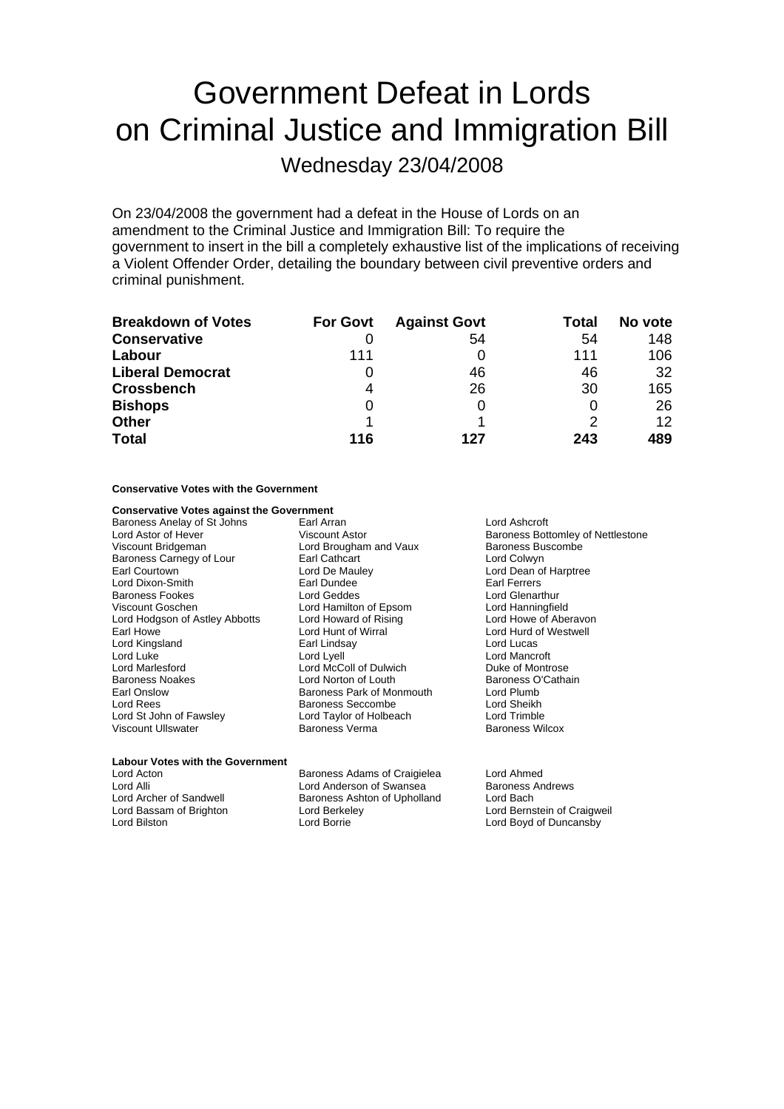# Government Defeat in Lords on Criminal Justice and Immigration Bill

Wednesday 23/04/2008

On 23/04/2008 the government had a defeat in the House of Lords on an amendment to the Criminal Justice and Immigration Bill: To require the government to insert in the bill a completely exhaustive list of the implications of receiving a Violent Offender Order, detailing the boundary between civil preventive orders and criminal punishment.

| <b>Breakdown of Votes</b> | <b>For Govt</b> | <b>Against Govt</b> | Total | No vote |
|---------------------------|-----------------|---------------------|-------|---------|
| <b>Conservative</b>       |                 | 54                  | 54    | 148     |
| Labour                    | 111             |                     | 111   | 106     |
| <b>Liberal Democrat</b>   | O               | 46                  | 46    | 32      |
| <b>Crossbench</b>         | 4               | 26                  | 30    | 165     |
| <b>Bishops</b>            | 0               |                     |       | 26      |
| <b>Other</b>              |                 |                     | っ     | 12      |
| <b>Total</b>              | 116             | 127                 | 243   | 489     |

#### **Conservative Votes with the Government**

#### **Conservative Votes against the Government**

Baroness Carnegy of Lour Lord Dixon-Smith Earl Dundee Earl Ferrers Baroness Fookes Lord Geddes Lord Glenarthur Viscount Goschen Lord Hamilton of Epsom<br>
Lord Hodgson of Astlev Abbotts Lord Howard of Rising Lord Hodgson of Astley Abbotts Lord Howard of Rising Lord Howe of Aberavon Lord Kingsland Earl Linds<br>
Lord Luke Lord Lyell Lord Luke Lord Lyell Lord Mancroft Lord Marlesford **Lord McColl of Dulwich** Duke of Montrose<br>
Baroness Noakes **Duke Of Lord Norton of Louth** Duke of Baroness O'Cathain Baroness Noakes **Lord Norton of Louth** Baroness O'Carl Discovers C<br>
Baroness Park of Monmouth Lord Plumb Lord Rees Baroness Seccombe Lord Sheikh Viscount Ullswater

Baroness Anelay of St Johns Earl Arran Lord Ashcroft Lord Brougham and Vaux Baroness Bu<br>Earl Cathcart Baroness Buscomber 2016 Lord De Mauley **Lord Dean of Harptree** Lord Hunt of Wirral **Lord Hunt of Wirral Lord Hurd of Westwell**<br> **Earl Lindsay Lord Lucas** Baroness Park of Monmouth Lord St John of Fawsley Lord Taylor of Holbeach Lord Trimble<br>
Viscount Ullswater Controlly Baroness Verma Charles Baroness Wilcox

Lord Astor of Hever **Constructs** Viscount Astor **Baroness Bottomley of Nettlestone**<br>
Viscount Bridgeman **Constructs** Lord Brougham and Vaux **Baroness Buscombe** 

**Labour Votes with the Government**<br>Lord Acton

Baroness Adams of Craigielea Lord Ahmed Lord Alli Lord Anderson of Swansea Baroness Andrews<br>
Lord Archer of Sandwell Baroness Ashton of Upholland Lord Bach Lord Archer of Sandwell Baroness Ashton of Upholland<br>
Lord Bassam of Brighton Lord Berkelev Lord Bilston Lord Borrie Lord Boyd of Duncansby

Lord Bernstein of Craigweil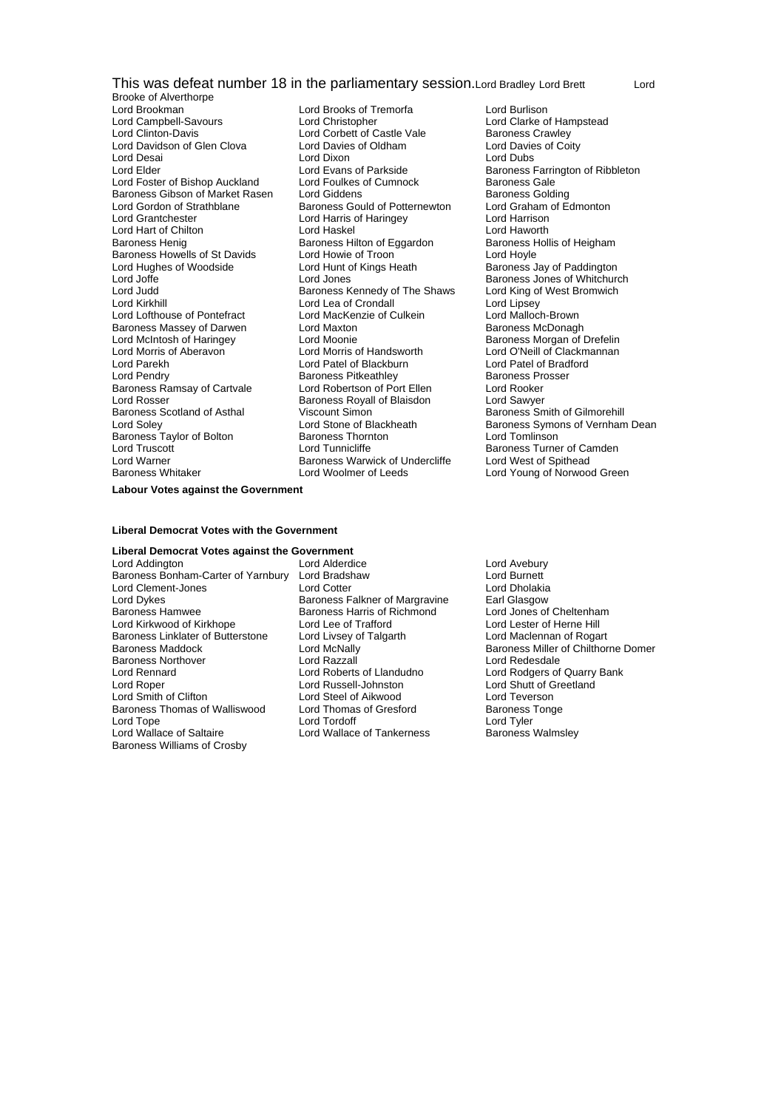### This was defeat number 18 in the parliamentary session. Lord Bradley Lord Brett Lord

Brooke of Alverthorpe<br>Lord Brookman Lord Davidson of Glen Clova Baroness Gibson of Market Rasen Lord Hart of Chilton<br>Baroness Henig Baroness Massey of Darwen Lord Maxton<br>
Lord McIntosh of Haringey Lord Moonie Baroness Scotland of Asthal Viscount Simon Baroness Smith of Gilmorehill Lord Warner **Baroness Warwick of Undercliffe**<br>Baroness Whitaker **Baroness Whitaker** Lord Woolmer of Leeds

Lord Brookman Lord Brooks of Tremorfa Lord Burlison Lord Campbell-Savours **Lord Christopher** Lord Christopher Lord Clarke of Hampstead<br>
Lord Clinton-Davis **Lord Corbett of Castle Vale** Baroness Crawley Lord Corbett of Castle Vale Baroness Crawley<br>
Lord Davies of Oldham Baroness of Coity Lord Desai Lord Dixon Lord Dubs Lord Elder Lord Evans of Parkside Baroness Farrington of Ribbleton<br>Lord Foster of Bishop Auckland Lord Foulkes of Cumnock Baroness Gale Lord Foster of Bishop Auckland Lord Foulkes of Cumnock Baroness Gale<br>Baroness Gibson of Market Rasen Lord Giddens Baroness Golding Lord Gordon of Strathblane Baroness Gould of Potternewton Lord Graham of Edmonton Lord Grantchester Lord Harris of Haringey Lord Harrison Baroness Hilton of Eggardon Baroness Hollis of Heigham<br>
Baroness Hollis of Troon<br>
Lord Hoyle Baroness Howells of St Davids Lord Howie of Troon Lord Hoyle<br>
Lord Hughes of Woodside Lord Hunt of Kings Heath Baroness J Lord Hughes of Woodside Lord Hunt of Kings Heath Baroness Jay of Paddington<br>Lord Joffe Baroness Jones of Whitchurg Lord Judd Baroness Kennedy of The Shaws Lord King of West Bromwich Lord Lea of Crondall Lord Lipsey<br>
Lord MacKenzie of Culkein Lord Malloch-Brown Lord Lofthouse of Pontefract Lord MacKenzie of Culkein Lord Malloch-Brown<br>
Baroness Massey of Darwen Lord Maxton Culkein Baroness McDonagh Lord McIntosh of Haringey Lord Moonie Cord Handsworth Baroness Morgan of Drefelin<br>
Lord Morris of Aberavon Lord Morris of Handsworth Lord O'Neill of Clackmannan Lord Morris of Aberavon Lord Morris of Handsworth Lord O'Neill of Clackmannan<br>
Lord Parekh Lord O'Neill of O'Neill of Clackmannan Lord Patel of Blackburn Lord Pendry **Baroness Pitkeathley** Baroness Prosser<br>Baroness Ramsay of Cartvale **Baroness Prosser** Lord Rooker **Baroness** Prosser Baroness Ramsay of Cartvale Lord Robertson of Port Ellen Lord Rooker **Baroness Royall of Blaisdon** Lord Sawyer<br>Viscount Simon **Communist Baroness Smith of Gilmorehill** Baroness Taylor of Bolton Baroness Thornton and Lord Tomlinson<br>
Lord Truscott Lord Tunnicliffe **Baroness Turne** 

Baroness Jones of Whitchurch Lord Stone of Blackheath Baroness Symons of Vernham Dean<br>Baroness Thornton Baroness Symons of Vernham Dean Baroness Turner of Camden<br>Lord West of Spithead Lord Young of Norwood Green

#### **Labour Votes against the Government**

#### **Liberal Democrat Votes with the Government**

**Liberal Democrat Votes against the Government**<br>Lord Addington Lord Alderdice Lord Addington Lord Avebury<br>
Baroness Bonham-Carter of Yarnbury Lord Bradshaw Lord Burnett<br>
Lord Burnett Baroness Bonham-Carter of Yarnbury Lord Bradshaw Lord Burnett Lord Clement-Jones<br>
Lord Dykes **Lord Context Context** Lord Dholakia<br>
Baroness Falkner of Margravine Earl Glasgow Baroness Hamwee Baroness Harris of Richmond Lord Kirkwood of Kirkhope Lord Lee of Trafford<br>
Baroness Linklater of Butterstone Lord Livsey of Talgarth Lord Maclennan of Rogart Baroness Linklater of Butterstone Lord Livsey of Talgarth<br>Baroness Maddock Lord McNally Baroness Northover **Lord Razzall Lord Razzall** Lord Redesdale<br>
Lord Rennard **Lord Roberts of Llandudno** Lord Rodgers of Lord Rennard Lord Roberts of Llandudno Lord Rodgers of Quarry Bank Lord Smith of Clifton Baroness Thomas of Walliswood Lord Thomas of Gresford Baroness Tonge Lord Tope Cord Tordoff Cord Tordoff Lord Tyler<br>
Lord Wallace of Saltaire Cord Wallace of Tankerness Cord Wallace of Tankerness Baroness Williams of Crosby

Baroness Falkner of Margravine Earl Glasgow<br>Baroness Harris of Richmond Lord Jones of Cheltenham Lord Russell-Johnston Lord Shutt of Greetland<br>
Lord Russell-Johnston Lord Shutt of Greetland<br>
Lord Steel of Aikwood Lord Teverson Lord Wallace of Tankerness

Baroness Miller of Chilthorne Domer